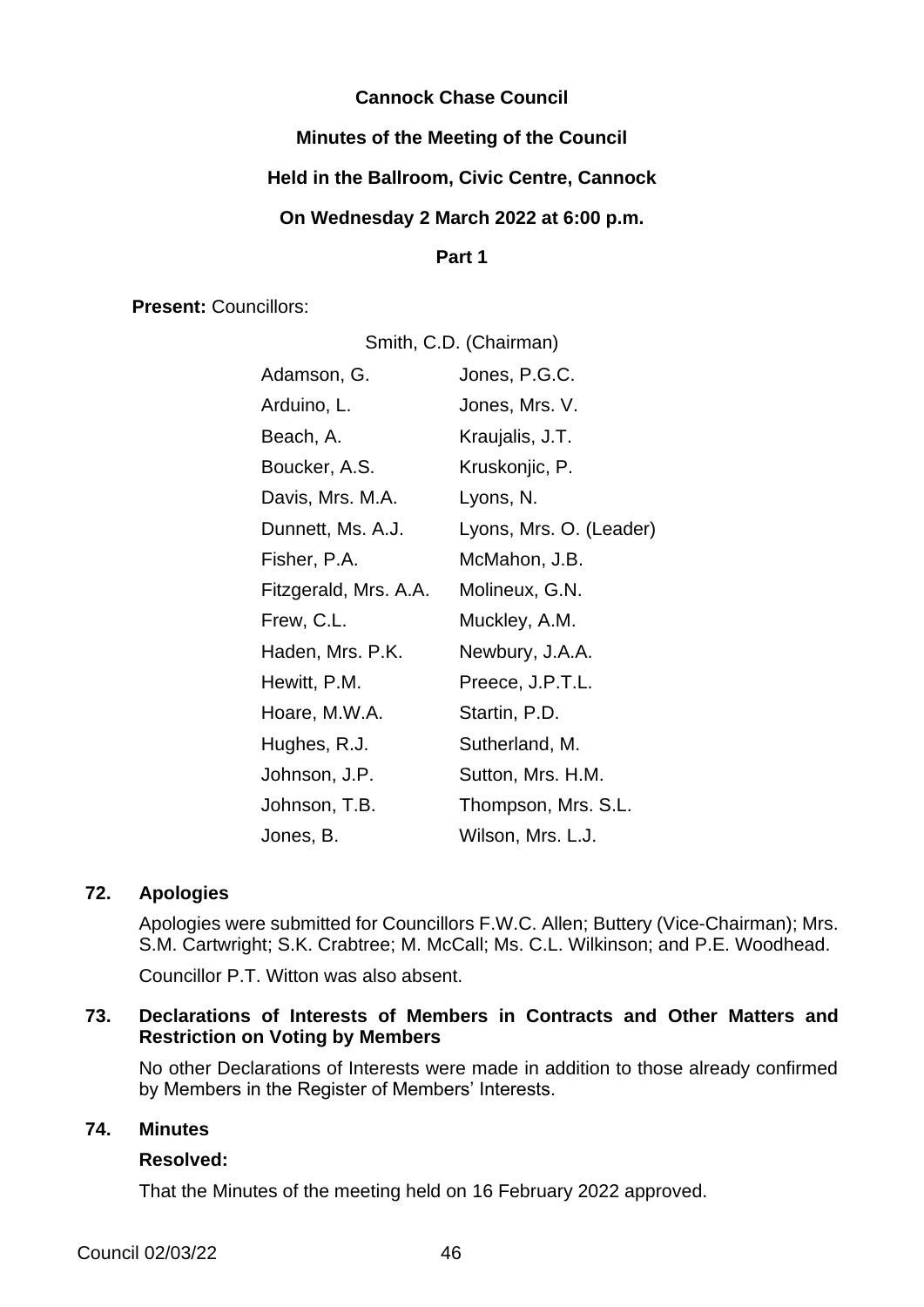# **Cannock Chase Council**

# **Minutes of the Meeting of the Council**

## **Held in the Ballroom, Civic Centre, Cannock**

## **On Wednesday 2 March 2022 at 6:00 p.m.**

#### **Part 1**

**Present:** Councillors:

| Smith, C.D. (Chairman) |                         |  |
|------------------------|-------------------------|--|
| Adamson, G.            | Jones, P.G.C.           |  |
| Arduino, L.            | Jones, Mrs. V.          |  |
| Beach, A.              | Kraujalis, J.T.         |  |
| Boucker, A.S.          | Kruskonjic, P.          |  |
| Davis, Mrs. M.A.       | Lyons, N.               |  |
| Dunnett, Ms. A.J.      | Lyons, Mrs. O. (Leader) |  |
| Fisher, P.A.           | McMahon, J.B.           |  |
| Fitzgerald, Mrs. A.A.  | Molineux, G.N.          |  |
| Frew, C.L.             | Muckley, A.M.           |  |
| Haden, Mrs. P.K.       | Newbury, J.A.A.         |  |
| Hewitt, P.M.           | Preece, J.P.T.L.        |  |
| Hoare, M.W.A.          | Startin, P.D.           |  |
| Hughes, R.J.           | Sutherland, M.          |  |
| Johnson, J.P.          | Sutton, Mrs. H.M.       |  |
| Johnson, T.B.          | Thompson, Mrs. S.L.     |  |
| Jones, B.              | Wilson, Mrs. L.J.       |  |

## **72. Apologies**

Apologies were submitted for Councillors F.W.C. Allen; Buttery (Vice-Chairman); Mrs. S.M. Cartwright; S.K. Crabtree; M. McCall; Ms. C.L. Wilkinson; and P.E. Woodhead.

Councillor P.T. Witton was also absent.

# **73. Declarations of Interests of Members in Contracts and Other Matters and Restriction on Voting by Members**

No other Declarations of Interests were made in addition to those already confirmed by Members in the Register of Members' Interests.

# **74. Minutes**

## **Resolved:**

That the Minutes of the meeting held on 16 February 2022 approved.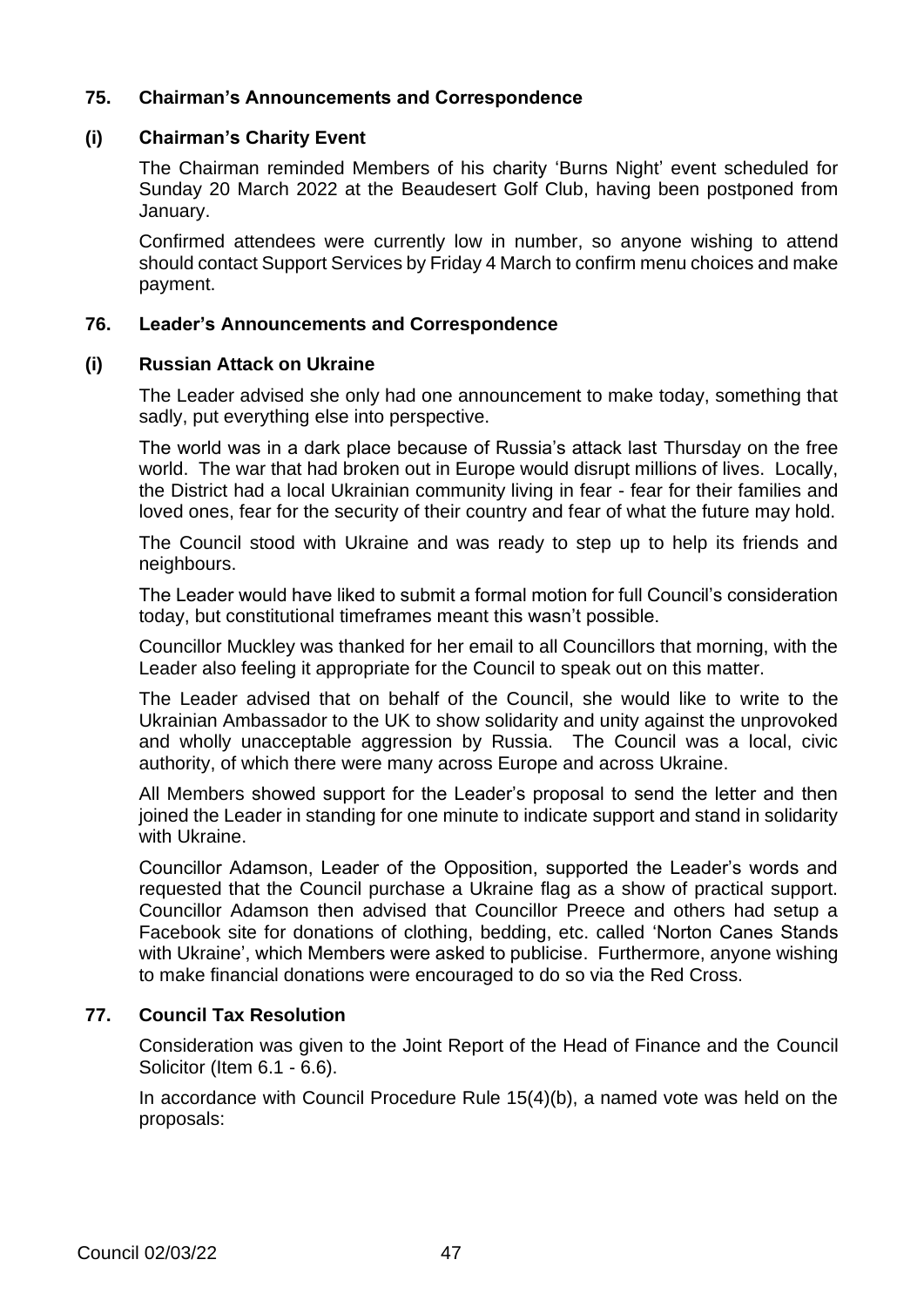# **75. Chairman's Announcements and Correspondence**

## **(i) Chairman's Charity Event**

The Chairman reminded Members of his charity 'Burns Night' event scheduled for Sunday 20 March 2022 at the Beaudesert Golf Club, having been postponed from January.

Confirmed attendees were currently low in number, so anyone wishing to attend should contact Support Services by Friday 4 March to confirm menu choices and make payment.

#### **76. Leader's Announcements and Correspondence**

#### **(i) Russian Attack on Ukraine**

The Leader advised she only had one announcement to make today, something that sadly, put everything else into perspective.

The world was in a dark place because of Russia's attack last Thursday on the free world. The war that had broken out in Europe would disrupt millions of lives. Locally, the District had a local Ukrainian community living in fear - fear for their families and loved ones, fear for the security of their country and fear of what the future may hold.

The Council stood with Ukraine and was ready to step up to help its friends and neighbours.

The Leader would have liked to submit a formal motion for full Council's consideration today, but constitutional timeframes meant this wasn't possible.

Councillor Muckley was thanked for her email to all Councillors that morning, with the Leader also feeling it appropriate for the Council to speak out on this matter.

The Leader advised that on behalf of the Council, she would like to write to the Ukrainian Ambassador to the UK to show solidarity and unity against the unprovoked and wholly unacceptable aggression by Russia. The Council was a local, civic authority, of which there were many across Europe and across Ukraine.

All Members showed support for the Leader's proposal to send the letter and then joined the Leader in standing for one minute to indicate support and stand in solidarity with Ukraine.

Councillor Adamson, Leader of the Opposition, supported the Leader's words and requested that the Council purchase a Ukraine flag as a show of practical support. Councillor Adamson then advised that Councillor Preece and others had setup a Facebook site for donations of clothing, bedding, etc. called 'Norton Canes Stands with Ukraine', which Members were asked to publicise. Furthermore, anyone wishing to make financial donations were encouraged to do so via the Red Cross.

## **77. Council Tax Resolution**

Consideration was given to the Joint Report of the Head of Finance and the Council Solicitor (Item 6.1 - 6.6).

In accordance with Council Procedure Rule 15(4)(b), a named vote was held on the proposals: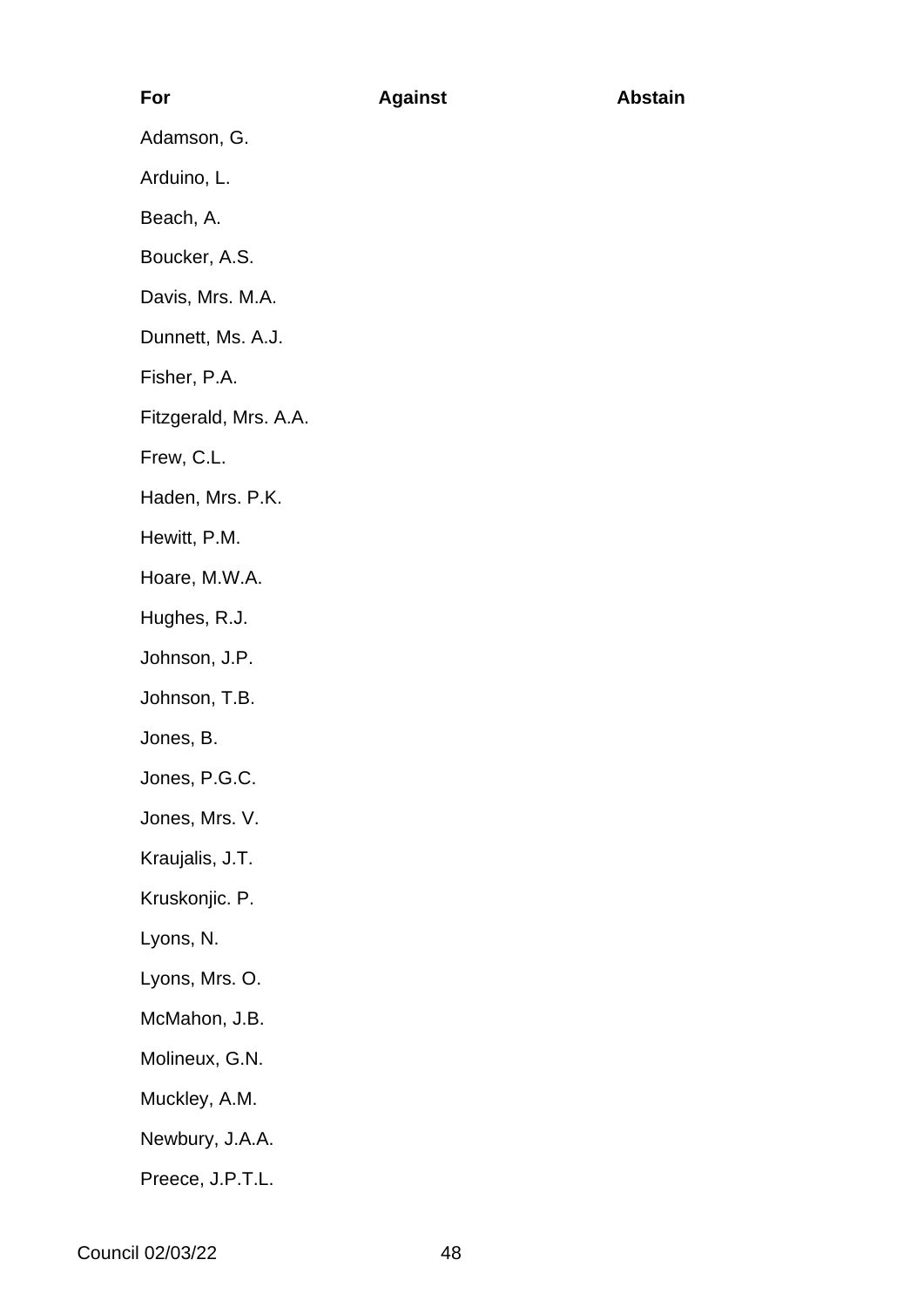# **For Against Abstain** Adamson, G. Arduino, L. Beach, A. Boucker, A.S. Davis, Mrs. M.A. Dunnett, Ms. A.J. Fisher, P.A. Fitzgerald, Mrs. A.A. Frew, C.L. Haden, Mrs. P.K. Hewitt, P.M. Hoare, M.W.A. Hughes, R.J. Johnson, J.P. Johnson, T.B. Jones, B.

Jones, P.G.C.

Jones, Mrs. V.

Kraujalis, J.T.

Kruskonjic. P.

Lyons, N.

Lyons, Mrs. O.

McMahon, J.B.

Molineux, G.N.

Muckley, A.M.

Newbury, J.A.A.

Preece, J.P.T.L.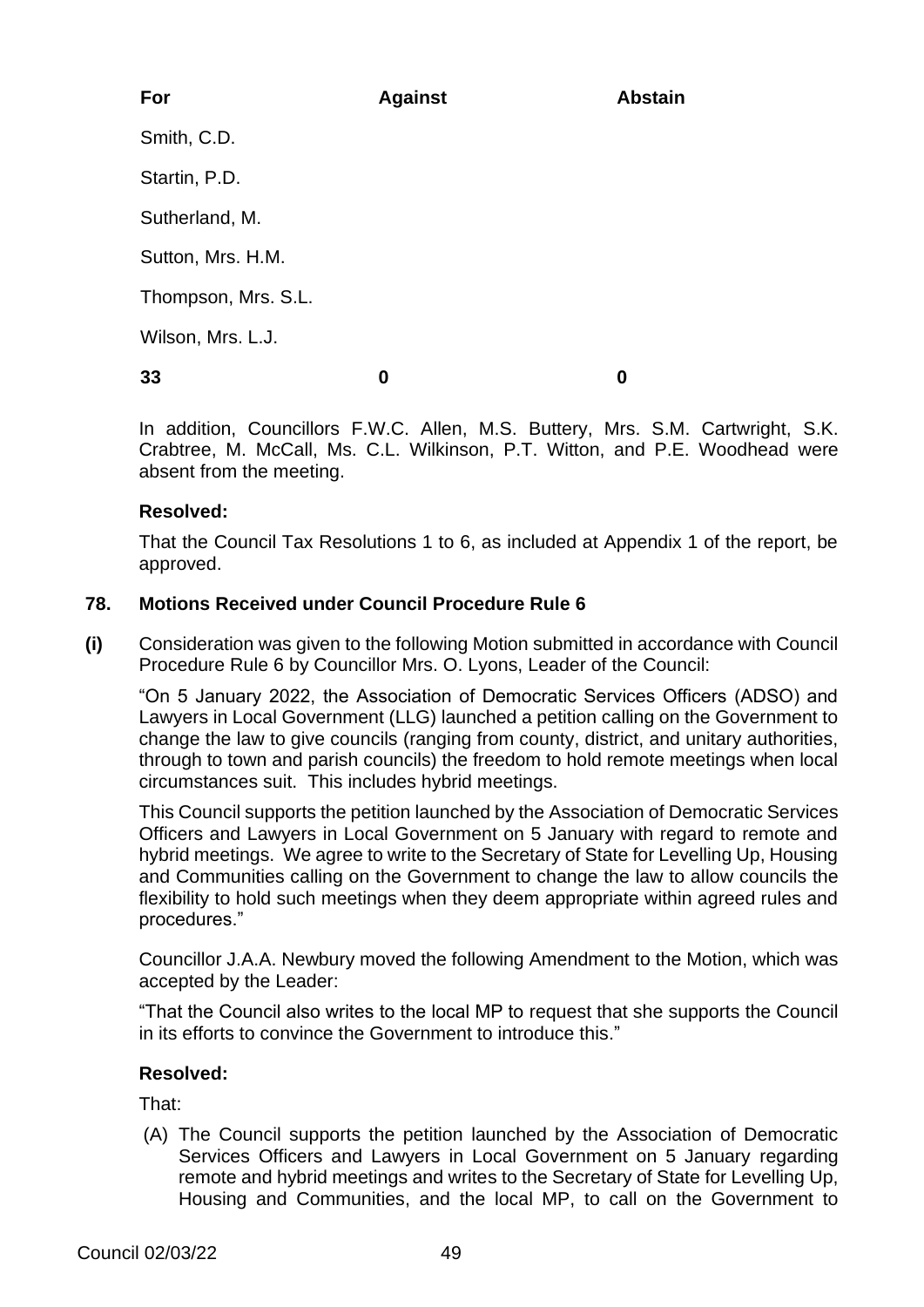| For                 | <b>Against</b> | <b>Abstain</b> |
|---------------------|----------------|----------------|
| Smith, C.D.         |                |                |
| Startin, P.D.       |                |                |
| Sutherland, M.      |                |                |
| Sutton, Mrs. H.M.   |                |                |
| Thompson, Mrs. S.L. |                |                |
| Wilson, Mrs. L.J.   |                |                |
| 33                  | 0              | 0              |
|                     |                |                |

In addition, Councillors F.W.C. Allen, M.S. Buttery, Mrs. S.M. Cartwright, S.K. Crabtree, M. McCall, Ms. C.L. Wilkinson, P.T. Witton, and P.E. Woodhead were absent from the meeting.

## **Resolved:**

That the Council Tax Resolutions 1 to 6, as included at Appendix 1 of the report, be approved.

# **78. Motions Received under Council Procedure Rule 6**

**(i)** Consideration was given to the following Motion submitted in accordance with Council Procedure Rule 6 by Councillor Mrs. O. Lyons, Leader of the Council:

"On 5 January 2022, the Association of Democratic Services Officers (ADSO) and Lawyers in Local Government (LLG) launched a petition calling on the Government to change the law to give councils (ranging from county, district, and unitary authorities, through to town and parish councils) the freedom to hold remote meetings when local circumstances suit. This includes hybrid meetings.

This Council supports the petition launched by the Association of Democratic Services Officers and Lawyers in Local Government on 5 January with regard to remote and hybrid meetings. We agree to write to the Secretary of State for Levelling Up, Housing and Communities calling on the Government to change the law to allow councils the flexibility to hold such meetings when they deem appropriate within agreed rules and procedures."

Councillor J.A.A. Newbury moved the following Amendment to the Motion, which was accepted by the Leader:

"That the Council also writes to the local MP to request that she supports the Council in its efforts to convince the Government to introduce this."

# **Resolved:**

That:

(A) The Council supports the petition launched by the Association of Democratic Services Officers and Lawyers in Local Government on 5 January regarding remote and hybrid meetings and writes to the Secretary of State for Levelling Up, Housing and Communities, and the local MP, to call on the Government to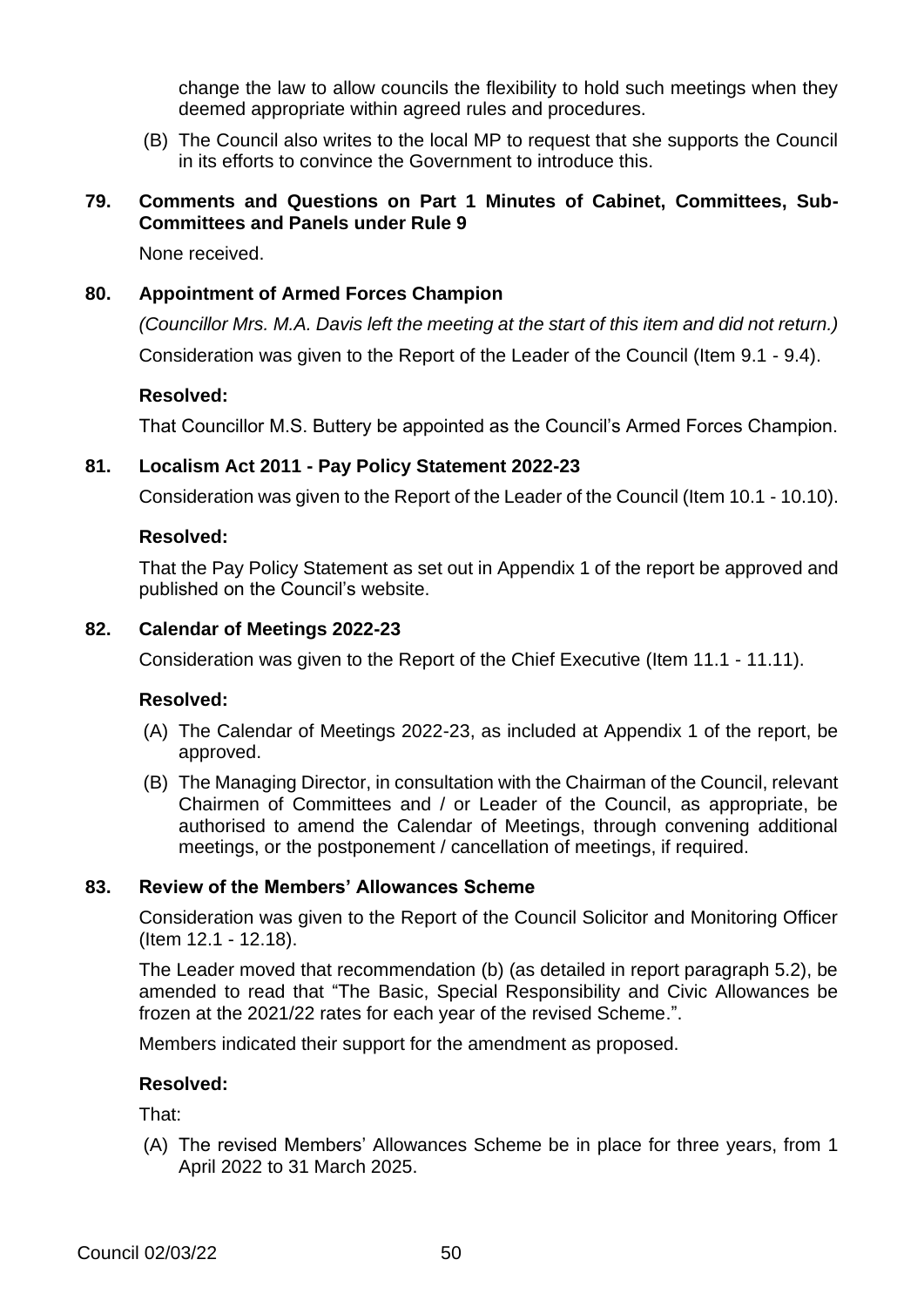change the law to allow councils the flexibility to hold such meetings when they deemed appropriate within agreed rules and procedures.

(B) The Council also writes to the local MP to request that she supports the Council in its efforts to convince the Government to introduce this.

# **79. Comments and Questions on Part 1 Minutes of Cabinet, Committees, Sub-Committees and Panels under Rule 9**

None received.

#### **80. Appointment of Armed Forces Champion**

*(Councillor Mrs. M.A. Davis left the meeting at the start of this item and did not return.)* Consideration was given to the Report of the Leader of the Council (Item 9.1 - 9.4).

#### **Resolved:**

That Councillor M.S. Buttery be appointed as the Council's Armed Forces Champion.

#### **81. Localism Act 2011 - Pay Policy Statement 2022-23**

Consideration was given to the Report of the Leader of the Council (Item 10.1 - 10.10).

#### **Resolved:**

That the Pay Policy Statement as set out in Appendix 1 of the report be approved and published on the Council's website.

#### **82. Calendar of Meetings 2022-23**

Consideration was given to the Report of the Chief Executive (Item 11.1 - 11.11).

#### **Resolved:**

- (A) The Calendar of Meetings 2022-23, as included at Appendix 1 of the report, be approved.
- (B) The Managing Director, in consultation with the Chairman of the Council, relevant Chairmen of Committees and / or Leader of the Council, as appropriate, be authorised to amend the Calendar of Meetings, through convening additional meetings, or the postponement / cancellation of meetings, if required.

#### **83. Review of the Members' Allowances Scheme**

Consideration was given to the Report of the Council Solicitor and Monitoring Officer (Item 12.1 - 12.18).

The Leader moved that recommendation (b) (as detailed in report paragraph 5.2), be amended to read that "The Basic, Special Responsibility and Civic Allowances be frozen at the 2021/22 rates for each year of the revised Scheme.".

Members indicated their support for the amendment as proposed.

#### **Resolved:**

That:

(A) The revised Members' Allowances Scheme be in place for three years, from 1 April 2022 to 31 March 2025.